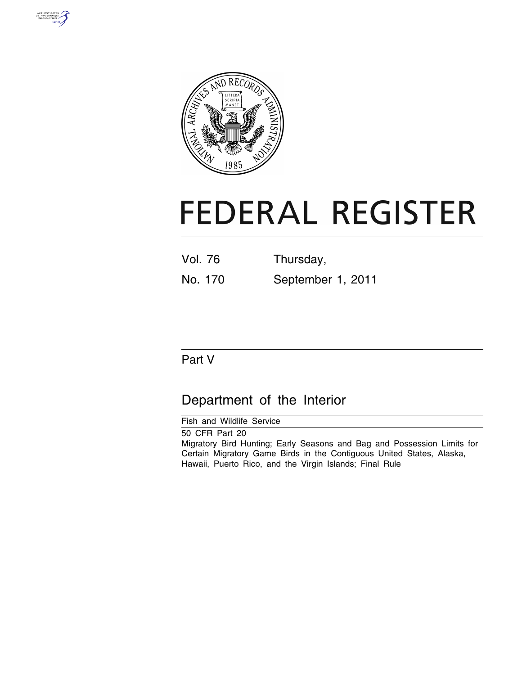



# **FEDERAL REGISTER**

| <b>Vol. 76</b> | Thursday,         |
|----------------|-------------------|
| No. 170        | September 1, 2011 |

# Part V

# Department of the Interior

Fish and Wildlife Service

50 CFR Part 20 Migratory Bird Hunting; Early Seasons and Bag and Possession Limits for Certain Migratory Game Birds in the Contiguous United States, Alaska, Hawaii, Puerto Rico, and the Virgin Islands; Final Rule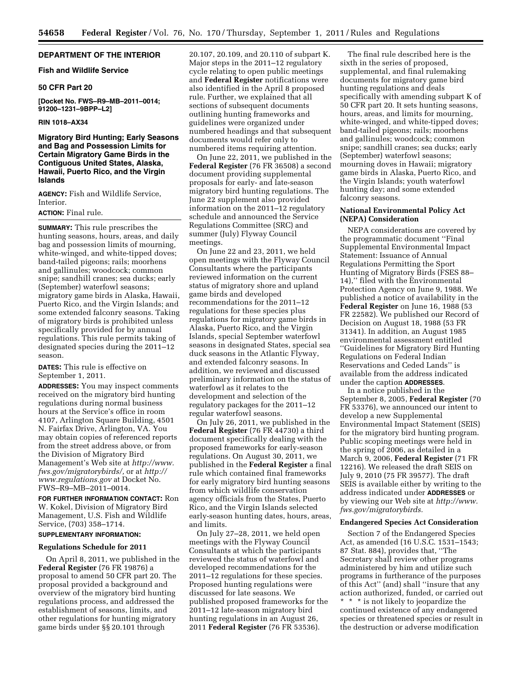# **DEPARTMENT OF THE INTERIOR**

# **Fish and Wildlife Service**

# **50 CFR Part 20**

**[Docket No. FWS–R9–MB–2011–0014; 91200–1231–9BPP–L2]** 

#### **RIN 1018–AX34**

# **Migratory Bird Hunting; Early Seasons and Bag and Possession Limits for Certain Migratory Game Birds in the Contiguous United States, Alaska, Hawaii, Puerto Rico, and the Virgin Islands**

**AGENCY:** Fish and Wildlife Service, Interior.

# **ACTION:** Final rule.

**SUMMARY:** This rule prescribes the hunting seasons, hours, areas, and daily bag and possession limits of mourning, white-winged, and white-tipped doves; band-tailed pigeons; rails; moorhens and gallinules; woodcock; common snipe; sandhill cranes; sea ducks; early (September) waterfowl seasons; migratory game birds in Alaska, Hawaii, Puerto Rico, and the Virgin Islands; and some extended falconry seasons. Taking of migratory birds is prohibited unless specifically provided for by annual regulations. This rule permits taking of designated species during the 2011–12 season.

**DATES:** This rule is effective on September 1, 2011.

**ADDRESSES:** You may inspect comments received on the migratory bird hunting regulations during normal business hours at the Service's office in room 4107, Arlington Square Building, 4501 N. Fairfax Drive, Arlington, VA. You may obtain copies of referenced reports from the street address above, or from the Division of Migratory Bird Management's Web site at *[http://www.](http://www.fws.gov/migratorybirds/) [fws.gov/migratorybirds/,](http://www.fws.gov/migratorybirds/)* or at *[http://](http://www.regulations.gov) [www.regulations.gov](http://www.regulations.gov)* at Docket No. FWS–R9–MB–2011–0014.

**FOR FURTHER INFORMATION CONTACT:** Ron W. Kokel, Division of Migratory Bird Management, U.S. Fish and Wildlife Service, (703) 358–1714.

# **SUPPLEMENTARY INFORMATION:**

#### **Regulations Schedule for 2011**

On April 8, 2011, we published in the **Federal Register** (76 FR 19876) a proposal to amend 50 CFR part 20. The proposal provided a background and overview of the migratory bird hunting regulations process, and addressed the establishment of seasons, limits, and other regulations for hunting migratory game birds under §§ 20.101 through

20.107, 20.109, and 20.110 of subpart K. Major steps in the 2011–12 regulatory cycle relating to open public meetings and **Federal Register** notifications were also identified in the April 8 proposed rule. Further, we explained that all sections of subsequent documents outlining hunting frameworks and guidelines were organized under numbered headings and that subsequent documents would refer only to numbered items requiring attention.

On June 22, 2011, we published in the **Federal Register** (76 FR 36508) a second document providing supplemental proposals for early- and late-season migratory bird hunting regulations. The June 22 supplement also provided information on the 2011–12 regulatory schedule and announced the Service Regulations Committee (SRC) and summer (July) Flyway Council meetings.

On June 22 and 23, 2011, we held open meetings with the Flyway Council Consultants where the participants reviewed information on the current status of migratory shore and upland game birds and developed recommendations for the 2011–12 regulations for these species plus regulations for migratory game birds in Alaska, Puerto Rico, and the Virgin Islands, special September waterfowl seasons in designated States, special sea duck seasons in the Atlantic Flyway, and extended falconry seasons. In addition, we reviewed and discussed preliminary information on the status of waterfowl as it relates to the development and selection of the regulatory packages for the 2011–12 regular waterfowl seasons.

On July 26, 2011, we published in the **Federal Register** (76 FR 44730) a third document specifically dealing with the proposed frameworks for early-season regulations. On August 30, 2011, we published in the **Federal Register** a final rule which contained final frameworks for early migratory bird hunting seasons from which wildlife conservation agency officials from the States, Puerto Rico, and the Virgin Islands selected early-season hunting dates, hours, areas, and limits.

On July 27–28, 2011, we held open meetings with the Flyway Council Consultants at which the participants reviewed the status of waterfowl and developed recommendations for the 2011–12 regulations for these species. Proposed hunting regulations were discussed for late seasons. We published proposed frameworks for the 2011–12 late-season migratory bird hunting regulations in an August 26, 2011 **Federal Register** (76 FR 53536).

The final rule described here is the sixth in the series of proposed, supplemental, and final rulemaking documents for migratory game bird hunting regulations and deals specifically with amending subpart K of 50 CFR part 20. It sets hunting seasons, hours, areas, and limits for mourning, white-winged, and white-tipped doves; band-tailed pigeons; rails; moorhens and gallinules; woodcock; common snipe; sandhill cranes; sea ducks; early (September) waterfowl seasons; mourning doves in Hawaii; migratory game birds in Alaska, Puerto Rico, and the Virgin Islands; youth waterfowl hunting day; and some extended falconry seasons.

# **National Environmental Policy Act (NEPA) Consideration**

NEPA considerations are covered by the programmatic document ''Final Supplemental Environmental Impact Statement: Issuance of Annual Regulations Permitting the Sport Hunting of Migratory Birds (FSES 88– 14),'' filed with the Environmental Protection Agency on June 9, 1988. We published a notice of availability in the **Federal Register** on June 16, 1988 (53 FR 22582). We published our Record of Decision on August 18, 1988 (53 FR 31341). In addition, an August 1985 environmental assessment entitled ''Guidelines for Migratory Bird Hunting Regulations on Federal Indian Reservations and Ceded Lands'' is available from the address indicated under the caption **ADDRESSES**.

In a notice published in the September 8, 2005, **Federal Register** (70 FR 53376), we announced our intent to develop a new Supplemental Environmental Impact Statement (SEIS) for the migratory bird hunting program. Public scoping meetings were held in the spring of 2006, as detailed in a March 9, 2006, **Federal Register** (71 FR 12216). We released the draft SEIS on July 9, 2010 (75 FR 39577). The draft SEIS is available either by writing to the address indicated under **ADDRESSES** or by viewing our Web site at *[http://www.](http://www.fws.gov/migratorybirds) [fws.gov/migratorybirds.](http://www.fws.gov/migratorybirds)* 

# **Endangered Species Act Consideration**

Section 7 of the Endangered Species Act, as amended (16 U.S.C. 1531–1543; 87 Stat. 884), provides that, ''The Secretary shall review other programs administered by him and utilize such programs in furtherance of the purposes of this Act'' (and) shall ''insure that any action authorized, funded, or carried out \* \* \* is not likely to jeopardize the continued existence of any endangered species or threatened species or result in the destruction or adverse modification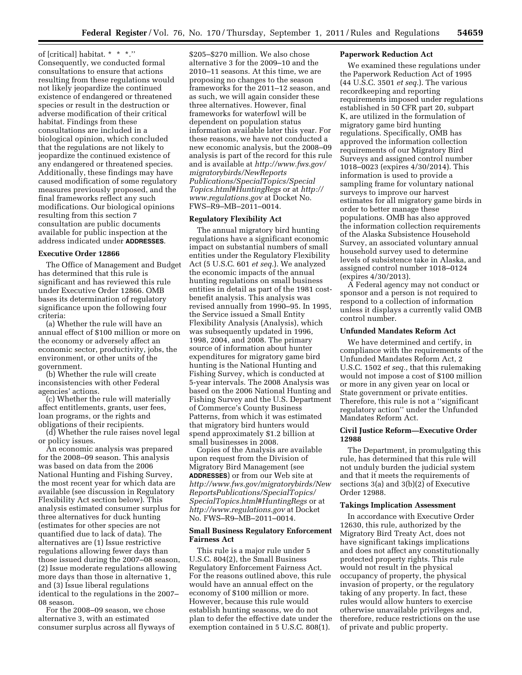of [critical] habitat. \* \* \*.'' Consequently, we conducted formal consultations to ensure that actions resulting from these regulations would not likely jeopardize the continued existence of endangered or threatened species or result in the destruction or adverse modification of their critical habitat. Findings from these consultations are included in a biological opinion, which concluded that the regulations are not likely to jeopardize the continued existence of any endangered or threatened species. Additionally, these findings may have caused modification of some regulatory measures previously proposed, and the final frameworks reflect any such modifications. Our biological opinions resulting from this section 7 consultation are public documents available for public inspection at the address indicated under **ADDRESSES**.

# **Executive Order 12866**

The Office of Management and Budget has determined that this rule is significant and has reviewed this rule under Executive Order 12866. OMB bases its determination of regulatory significance upon the following four criteria:

(a) Whether the rule will have an annual effect of \$100 million or more on the economy or adversely affect an economic sector, productivity, jobs, the environment, or other units of the government.

(b) Whether the rule will create inconsistencies with other Federal agencies' actions.

(c) Whether the rule will materially affect entitlements, grants, user fees, loan programs, or the rights and obligations of their recipients.

(d) Whether the rule raises novel legal or policy issues.

An economic analysis was prepared for the 2008–09 season. This analysis was based on data from the 2006 National Hunting and Fishing Survey, the most recent year for which data are available (see discussion in Regulatory Flexibility Act section below). This analysis estimated consumer surplus for three alternatives for duck hunting (estimates for other species are not quantified due to lack of data). The alternatives are (1) Issue restrictive regulations allowing fewer days than those issued during the 2007–08 season, (2) Issue moderate regulations allowing more days than those in alternative 1, and (3) Issue liberal regulations identical to the regulations in the 2007– 08 season.

For the 2008–09 season, we chose alternative 3, with an estimated consumer surplus across all flyways of

\$205–\$270 million. We also chose alternative 3 for the 2009–10 and the 2010–11 seasons. At this time, we are proposing no changes to the season frameworks for the 2011–12 season, and as such, we will again consider these three alternatives. However, final frameworks for waterfowl will be dependent on population status information available later this year. For these reasons, we have not conducted a new economic analysis, but the 2008–09 analysis is part of the record for this rule and is available at *[http://www.fws.gov/](http://www.fws.gov/migratorybirds/NewReportsPublications/SpecialTopics/SpecialTopics.html#HuntingRegs) [migratorybirds/NewReports](http://www.fws.gov/migratorybirds/NewReportsPublications/SpecialTopics/SpecialTopics.html#HuntingRegs) [Publications/SpecialTopics/Special](http://www.fws.gov/migratorybirds/NewReportsPublications/SpecialTopics/SpecialTopics.html#HuntingRegs) [Topics.html#HuntingRegs](http://www.fws.gov/migratorybirds/NewReportsPublications/SpecialTopics/SpecialTopics.html#HuntingRegs)* or at *[http://](http://www.regulations.gov) [www.regulations.gov](http://www.regulations.gov)* at Docket No. FWS–R9–MB–2011–0014.

#### **Regulatory Flexibility Act**

The annual migratory bird hunting regulations have a significant economic impact on substantial numbers of small entities under the Regulatory Flexibility Act (5 U.S.C. 601 *et seq.*). We analyzed the economic impacts of the annual hunting regulations on small business entities in detail as part of the 1981 costbenefit analysis. This analysis was revised annually from 1990–95. In 1995, the Service issued a Small Entity Flexibility Analysis (Analysis), which was subsequently updated in 1996, 1998, 2004, and 2008. The primary source of information about hunter expenditures for migratory game bird hunting is the National Hunting and Fishing Survey, which is conducted at 5-year intervals. The 2008 Analysis was based on the 2006 National Hunting and Fishing Survey and the U.S. Department of Commerce's County Business Patterns, from which it was estimated that migratory bird hunters would spend approximately \$1.2 billion at small businesses in 2008.

Copies of the Analysis are available upon request from the Division of Migratory Bird Management (see **ADDRESSES**) or from our Web site at *[http://www.fws.gov/migratorybirds/New](http://www.fws.gov/migratorybirds/NewReportsPublications/SpecialTopics/SpecialTopics.html#HuntingRegs) [ReportsPublications/SpecialTopics/](http://www.fws.gov/migratorybirds/NewReportsPublications/SpecialTopics/SpecialTopics.html#HuntingRegs) [SpecialTopics.html#HuntingRegs](http://www.fws.gov/migratorybirds/NewReportsPublications/SpecialTopics/SpecialTopics.html#HuntingRegs)* or at *<http://www.regulations.gov>* at Docket No. FWS–R9–MB–2011–0014.

# **Small Business Regulatory Enforcement Fairness Act**

This rule is a major rule under 5 U.S.C. 804(2), the Small Business Regulatory Enforcement Fairness Act. For the reasons outlined above, this rule would have an annual effect on the economy of \$100 million or more. However, because this rule would establish hunting seasons, we do not plan to defer the effective date under the exemption contained in 5 U.S.C. 808(1).

## **Paperwork Reduction Act**

We examined these regulations under the Paperwork Reduction Act of 1995 (44 U.S.C. 3501 *et seq.*). The various recordkeeping and reporting requirements imposed under regulations established in 50 CFR part 20, subpart K, are utilized in the formulation of migratory game bird hunting regulations. Specifically, OMB has approved the information collection requirements of our Migratory Bird Surveys and assigned control number 1018–0023 (expires 4/30/2014). This information is used to provide a sampling frame for voluntary national surveys to improve our harvest estimates for all migratory game birds in order to better manage these populations. OMB has also approved the information collection requirements of the Alaska Subsistence Household Survey, an associated voluntary annual household survey used to determine levels of subsistence take in Alaska, and assigned control number 1018–0124 (expires 4/30/2013).

A Federal agency may not conduct or sponsor and a person is not required to respond to a collection of information unless it displays a currently valid OMB control number.

# **Unfunded Mandates Reform Act**

We have determined and certify, in compliance with the requirements of the Unfunded Mandates Reform Act, 2 U.S.C. 1502 *et seq.,* that this rulemaking would not impose a cost of \$100 million or more in any given year on local or State government or private entities. Therefore, this rule is not a ''significant regulatory action'' under the Unfunded Mandates Reform Act.

# **Civil Justice Reform—Executive Order 12988**

The Department, in promulgating this rule, has determined that this rule will not unduly burden the judicial system and that it meets the requirements of sections 3(a) and 3(b)(2) of Executive Order 12988.

#### **Takings Implication Assessment**

In accordance with Executive Order 12630, this rule, authorized by the Migratory Bird Treaty Act, does not have significant takings implications and does not affect any constitutionally protected property rights. This rule would not result in the physical occupancy of property, the physical invasion of property, or the regulatory taking of any property. In fact, these rules would allow hunters to exercise otherwise unavailable privileges and, therefore, reduce restrictions on the use of private and public property.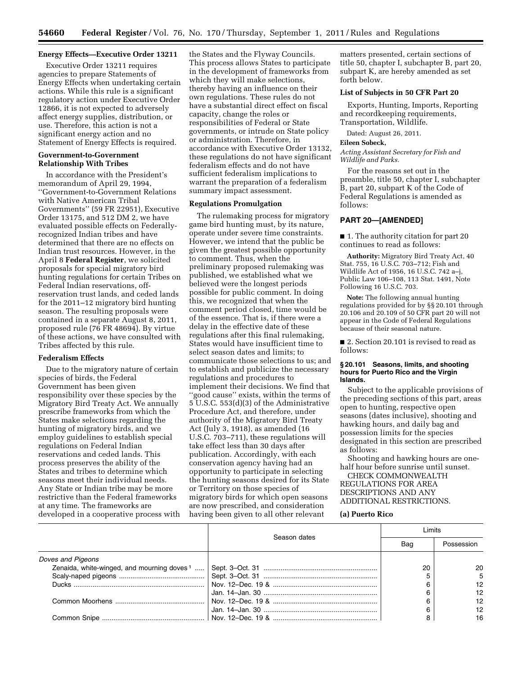## **Energy Effects—Executive Order 13211**

Executive Order 13211 requires agencies to prepare Statements of Energy Effects when undertaking certain actions. While this rule is a significant regulatory action under Executive Order 12866, it is not expected to adversely affect energy supplies, distribution, or use. Therefore, this action is not a significant energy action and no Statement of Energy Effects is required.

# **Government-to-Government Relationship With Tribes**

In accordance with the President's memorandum of April 29, 1994, ''Government-to-Government Relations with Native American Tribal Governments'' (59 FR 22951), Executive Order 13175, and 512 DM 2, we have evaluated possible effects on Federallyrecognized Indian tribes and have determined that there are no effects on Indian trust resources. However, in the April 8 **Federal Register**, we solicited proposals for special migratory bird hunting regulations for certain Tribes on Federal Indian reservations, offreservation trust lands, and ceded lands for the 2011–12 migratory bird hunting season. The resulting proposals were contained in a separate August 8, 2011, proposed rule (76 FR 48694). By virtue of these actions, we have consulted with Tribes affected by this rule.

#### **Federalism Effects**

Due to the migratory nature of certain species of birds, the Federal Government has been given responsibility over these species by the Migratory Bird Treaty Act. We annually prescribe frameworks from which the States make selections regarding the hunting of migratory birds, and we employ guidelines to establish special regulations on Federal Indian reservations and ceded lands. This process preserves the ability of the States and tribes to determine which seasons meet their individual needs. Any State or Indian tribe may be more restrictive than the Federal frameworks at any time. The frameworks are developed in a cooperative process with the States and the Flyway Councils. This process allows States to participate in the development of frameworks from which they will make selections, thereby having an influence on their own regulations. These rules do not have a substantial direct effect on fiscal capacity, change the roles or responsibilities of Federal or State governments, or intrude on State policy or administration. Therefore, in accordance with Executive Order 13132, these regulations do not have significant federalism effects and do not have sufficient federalism implications to warrant the preparation of a federalism summary impact assessment.

#### **Regulations Promulgation**

The rulemaking process for migratory game bird hunting must, by its nature, operate under severe time constraints. However, we intend that the public be given the greatest possible opportunity to comment. Thus, when the preliminary proposed rulemaking was published, we established what we believed were the longest periods possible for public comment. In doing this, we recognized that when the comment period closed, time would be of the essence. That is, if there were a delay in the effective date of these regulations after this final rulemaking, States would have insufficient time to select season dates and limits; to communicate those selections to us; and to establish and publicize the necessary regulations and procedures to implement their decisions. We find that ''good cause'' exists, within the terms of 5 U.S.C. 553(d)(3) of the Administrative Procedure Act, and therefore, under authority of the Migratory Bird Treaty Act (July 3, 1918), as amended (16 U.S.C. 703–711), these regulations will take effect less than 30 days after publication. Accordingly, with each conservation agency having had an opportunity to participate in selecting the hunting seasons desired for its State or Territory on those species of migratory birds for which open seasons are now prescribed, and consideration having been given to all other relevant

matters presented, certain sections of title 50, chapter I, subchapter B, part 20, subpart K, are hereby amended as set forth below.

# **List of Subjects in 50 CFR Part 20**

Exports, Hunting, Imports, Reporting and recordkeeping requirements, Transportation, Wildlife.

Dated: August 26, 2011.

#### **Eileen Sobeck,**

*Acting Assistant Secretary for Fish and Wildlife and Parks.* 

For the reasons set out in the preamble, title 50, chapter I, subchapter B, part 20, subpart K of the Code of Federal Regulations is amended as follows:

# **PART 20—[AMENDED]**

■ 1. The authority citation for part 20 continues to read as follows:

**Authority:** Migratory Bird Treaty Act, 40 Stat. 755, 16 U.S.C. 703–712; Fish and Wildlife Act of 1956, 16 U.S.C. 742 a–j, Public Law 106–108, 113 Stat. 1491, Note Following 16 U.S.C. 703.

**Note:** The following annual hunting regulations provided for by §§ 20.101 through 20.106 and 20.109 of 50 CFR part 20 will not appear in the Code of Federal Regulations because of their seasonal nature.

■ 2. Section 20.101 is revised to read as follows:

# **§ 20.101 Seasons, limits, and shooting hours for Puerto Rico and the Virgin Islands.**

Subject to the applicable provisions of the preceding sections of this part, areas open to hunting, respective open seasons (dates inclusive), shooting and hawking hours, and daily bag and possession limits for the species designated in this section are prescribed as follows:

Shooting and hawking hours are onehalf hour before sunrise until sunset.

CHECK COMMONWEALTH REGULATIONS FOR AREA DESCRIPTIONS AND ANY ADDITIONAL RESTRICTIONS.

#### **(a) Puerto Rico**

|                                             | Season dates | imits |            |
|---------------------------------------------|--------------|-------|------------|
|                                             |              | Bag   | Possession |
| Doves and Pigeons                           |              |       |            |
| Zenaida, white-winged, and mourning doves 1 |              | 20    | 20         |
|                                             |              |       | 5          |
|                                             |              |       | 12         |
|                                             |              |       | 12         |
|                                             |              |       | 12         |
|                                             |              |       | 12         |
|                                             |              |       | 16         |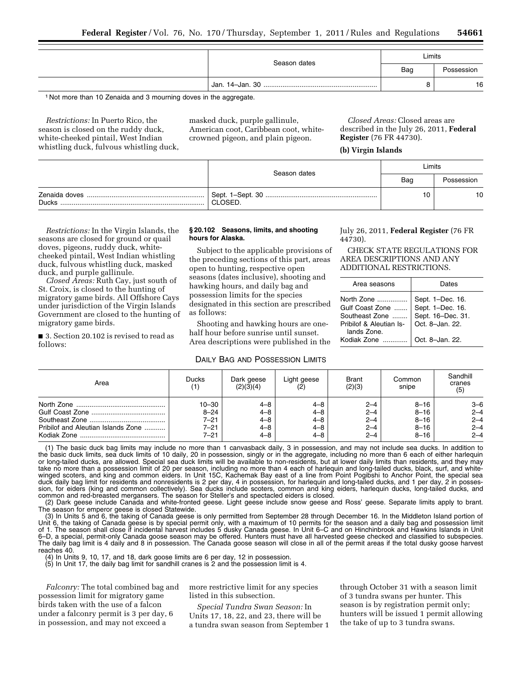|              | Limits |            |  |
|--------------|--------|------------|--|
| Season dates | Bag    | Possession |  |
|              |        | 16         |  |

1 Not more than 10 Zenaida and 3 mourning doves in the aggregate.

*Restrictions:* In Puerto Rico, the season is closed on the ruddy duck, white-cheeked pintail, West Indian whistling duck, fulvous whistling duck, masked duck, purple gallinule, American coot, Caribbean coot, whitecrowned pigeon, and plain pigeon.

*Closed Areas:* Closed areas are described in the July 26, 2011, **Federal Register** (76 FR 44730).

# **(b) Virgin Islands**

|       | Season dates | Limits |            |  |
|-------|--------------|--------|------------|--|
|       |              | Bag    | Possession |  |
| Ducks | CLOSED.      |        | 10         |  |

*Restrictions:* In the Virgin Islands, the seasons are closed for ground or quail doves, pigeons, ruddy duck, whitecheeked pintail, West Indian whistling duck, fulvous whistling duck, masked duck, and purple gallinule.

*Closed Areas:* Ruth Cay, just south of St. Croix, is closed to the hunting of migratory game birds. All Offshore Cays under jurisdiction of the Virgin Islands Government are closed to the hunting of migratory game birds.

■ 3. Section 20.102 is revised to read as follows:

# **§ 20.102 Seasons, limits, and shooting hours for Alaska.**

Subject to the applicable provisions of the preceding sections of this part, areas open to hunting, respective open seasons (dates inclusive), shooting and hawking hours, and daily bag and possession limits for the species designated in this section are prescribed as follows:

Shooting and hawking hours are onehalf hour before sunrise until sunset. Area descriptions were published in the

#### DAILY BAG AND POSSESSION LIMITS

July 26, 2011, **Federal Register** (76 FR 44730).

CHECK STATE REGULATIONS FOR AREA DESCRIPTIONS AND ANY ADDITIONAL RESTRICTIONS.

| Area seasons               | Dates           |
|----------------------------|-----------------|
| lands Zone.<br>Kodiak Zone | Oct. 8-Jan. 22. |

| (1)       | (2)(3)(4) |         | (2)(3)  | Common<br>snipe | cranes<br>(5)                                                                                                                                                                                                                       |
|-----------|-----------|---------|---------|-----------------|-------------------------------------------------------------------------------------------------------------------------------------------------------------------------------------------------------------------------------------|
| $10 - 30$ | 4–8       | 4–8     | $2 - 4$ | $8 - 16$        | $3 - 6$                                                                                                                                                                                                                             |
| $8 - 24$  | $4 - 8$   | $4 - 8$ | $2 - 4$ | $8 - 16$        | $2 - 4$                                                                                                                                                                                                                             |
| $7 - 21$  | $4 - 8$   | 4–8     | $2 - 4$ | $8 - 16$        | $2 - 4$                                                                                                                                                                                                                             |
| $7 - 21$  | 4–8       | 4–8     | $2 - 4$ | $8 - 16$        | $2 - 4$                                                                                                                                                                                                                             |
| $7 - 21$  | 4–8       | 4–8     | $2 - 4$ | $8 - 16$        | $2 - 4$                                                                                                                                                                                                                             |
|           |           |         |         |                 | $\overline{a}$ , and the state that the state of the state of the state of the state of the state of the state of the state of the state of the state of the state of the state of the state of the state of the state of the state |

(1) The basic duck bag limits may include no more than 1 canvasback daily, 3 in possession, and may not include sea ducks. In addition to the basic duck limits, sea duck limits of 10 daily, 20 in possession, singly or in the aggregate, including no more than 6 each of either harlequin<br>or long-tailed ducks, are allowed. Special sea duck limits will be availab take no more than a possession limit of 20 per season, including no more than 4 each of harlequin and long-tailed ducks, black, surf, and whitewinged scoters, and king and common eiders. In Unit 15C, Kachemak Bay east of a line from Point Pogibshi to Anchor Point, the special sea duck daily bag limit for residents and nonresidents is 2 per day, 4 in possession, for harlequin and long-tailed ducks, and 1 per day, 2 in possession, for eiders (king and common collectively). Sea ducks include scoters, common and king eiders, harlequin ducks, long-tailed ducks, and common and red-breasted mergansers. The season for Steller's and spectacled eiders is closed.

(2) Dark geese include Canada and white-fronted geese. Light geese include snow geese and Ross' geese. Separate limits apply to brant. The season for emperor geese is closed Statewide.

(3) In Units 5 and 6, the taking of Canada geese is only permitted from September 28 through December 16. In the Middleton Island portion of Unit 6, the taking of Canada geese is by special permit only, with a maximum of 10 permits for the season and a daily bag and possession limit of 1. The season shall close if incidental harvest includes 5 dusky Canada geese. In Unit 6–C and on Hinchinbrook and Hawkins Islands in Unit 6–D, a special, permit-only Canada goose season may be offered. Hunters must have all harvested geese checked and classified to subspecies. The daily bag limit is 4 daily and 8 in possession. The Canada goose season will close in all of the permit areas if the total dusky goose harvest reaches 40.

(4) In Units 9, 10, 17, and 18, dark goose limits are 6 per day, 12 in possession.

(5) In Unit 17, the daily bag limit for sandhill cranes is 2 and the possession limit is 4.

*Falconry:* The total combined bag and possession limit for migratory game birds taken with the use of a falcon under a falconry permit is 3 per day, 6 in possession, and may not exceed a

more restrictive limit for any species listed in this subsection.

*Special Tundra Swan Season:* In Units 17, 18, 22, and 23, there will be a tundra swan season from September 1 through October 31 with a season limit of 3 tundra swans per hunter. This season is by registration permit only; hunters will be issued 1 permit allowing the take of up to 3 tundra swans.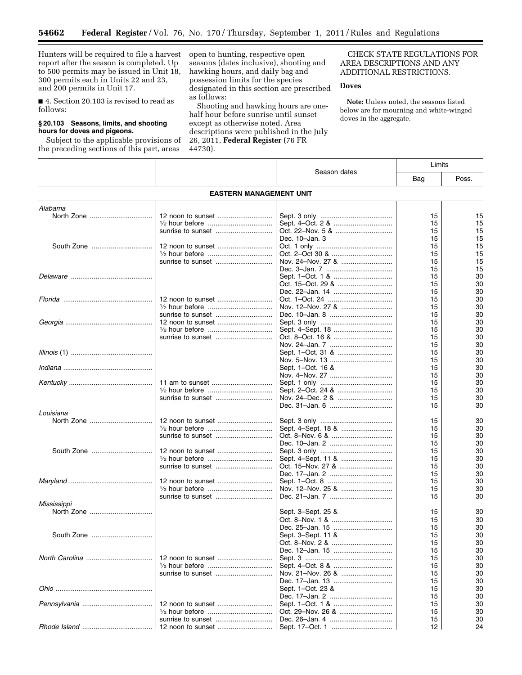Hunters will be required to file a harvest report after the season is completed. Up to 500 permits may be issued in Unit 18, 300 permits each in Units 22 and 23, and 200 permits in Unit 17.

Ξ

■ 4. Section 20.103 is revised to read as follows:

# **§ 20.103 Seasons, limits, and shooting hours for doves and pigeons.**

Subject to the applicable provisions of the preceding sections of this part, areas

open to hunting, respective open seasons (dates inclusive), shooting and hawking hours, and daily bag and possession limits for the species designated in this section are prescribed as follows:

Shooting and hawking hours are onehalf hour before sunrise until sunset except as otherwise noted. Area descriptions were published in the July 26, 2011, **Federal Register** (76 FR 44730).

Τ

CHECK STATE REGULATIONS FOR AREA DESCRIPTIONS AND ANY ADDITIONAL RESTRICTIONS.

# **Doves**

**Note:** Unless noted, the seasons listed below are for mourning and white-winged doves in the aggregate.

Τ

|             |                                |                    |     | Limits |
|-------------|--------------------------------|--------------------|-----|--------|
|             |                                | Season dates       | Bag | Poss.  |
|             | <b>EASTERN MANAGEMENT UNIT</b> |                    |     |        |
| Alabama     |                                |                    |     |        |
| North Zone  |                                |                    | 15  | 15     |
|             |                                |                    | 15  | 15     |
|             |                                |                    | 15  | 15     |
|             |                                | Dec. 10-Jan. 3     | 15  | 15     |
|             |                                |                    |     | 15     |
|             | 12 noon to sunset              |                    | 15  |        |
|             |                                |                    | 15  | 15     |
|             |                                | Nov. 24-Nov. 27 &  | 15  | 15     |
|             |                                |                    | 15  | 15     |
|             |                                |                    | 15  | 30     |
|             |                                |                    | 15  | 30     |
|             |                                | Dec. 22-Jan. 14    | 15  | 30     |
|             |                                |                    | 15  | 30     |
|             |                                |                    | 15  | 30     |
|             |                                |                    | 15  | 30     |
|             |                                |                    | 15  | 30     |
|             |                                |                    | 15  | 30     |
|             | sunrise to sunset              |                    | 15  | 30     |
|             |                                |                    | 15  | 30     |
|             |                                |                    |     |        |
|             |                                |                    | 15  | 30     |
|             |                                |                    | 15  | 30     |
|             |                                | Sept. 1–Oct. 16 &  | 15  | 30     |
|             |                                |                    | 15  | 30     |
|             |                                |                    | 15  | 30     |
|             |                                |                    | 15  | 30     |
|             | sunrise to sunset              |                    | 15  | 30     |
|             |                                |                    | 15  | 30     |
| Louisiana   |                                |                    |     |        |
|             |                                |                    | 15  | 30     |
|             |                                | Sept. 4-Sept. 18 & | 15  | 30     |
|             |                                |                    | 15  | 30     |
|             |                                |                    | 15  | 30     |
|             |                                |                    | 15  | 30     |
|             |                                |                    | 15  | 30     |
|             |                                |                    | 15  | 30     |
|             |                                |                    | 15  | 30     |
|             | 12 noon to sunset              |                    | 15  | 30     |
|             |                                | Nov. 12-Nov. 25 &  | 15  | 30     |
|             |                                |                    | 15  | 30     |
|             |                                |                    |     |        |
| Mississippi |                                |                    |     |        |
|             |                                | Sept. 3–Sept. 25 & | 15  | 30     |
|             |                                |                    | 15  | 30     |
|             |                                |                    | 15  | 30     |
|             |                                | Sept. 3-Sept. 11 & | 15  | 30     |
|             |                                |                    | 15  | 30     |
|             |                                | Dec. 12-Jan. 15    | 15  | 30     |
|             |                                |                    | 15  | 30     |
|             |                                |                    | 15  | 30     |
|             |                                | Nov. 21-Nov. 26 &  | 15  | 30     |
|             |                                | Dec. 17-Jan. 13    | 15  | 30     |
|             |                                | Sept. 1-Oct. 23 &  | 15  | 30     |
|             |                                |                    | 15  | 30     |
|             |                                |                    | 15  | 30     |
|             | 12 noon to sunset              |                    |     |        |
|             |                                |                    | 15  | 30     |
|             |                                |                    | 15  | 30     |
|             |                                |                    | 12  | 24     |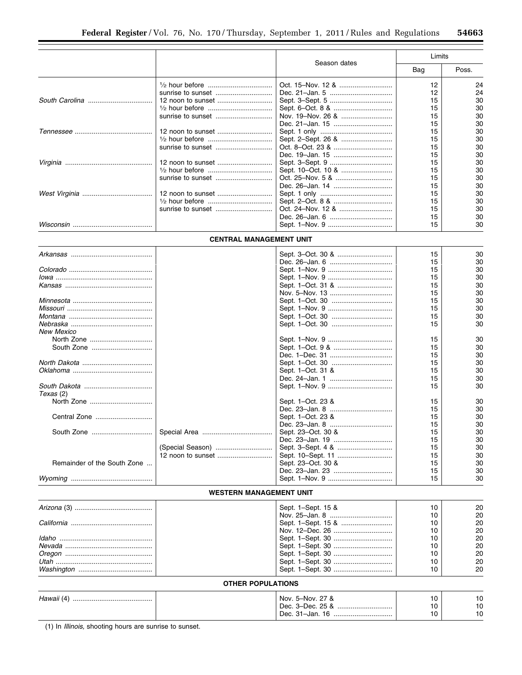▀

|                             |                                |                    | Limits   |          |  |
|-----------------------------|--------------------------------|--------------------|----------|----------|--|
|                             |                                | Season dates       | Bag      | Poss.    |  |
|                             |                                |                    | 12       | 24       |  |
|                             | sunrise to sunset              |                    | 12       | 24       |  |
|                             |                                |                    | 15       | 30       |  |
|                             |                                |                    | 15       | 30       |  |
|                             | sunrise to sunset              |                    | 15       | 30       |  |
|                             |                                | Dec. 21-Jan. 15    | 15       | 30       |  |
|                             | 12 noon to sunset              |                    | 15       | 30<br>30 |  |
|                             |                                |                    | 15<br>15 | 30       |  |
|                             |                                |                    | 15       | 30       |  |
|                             |                                |                    | 15       | 30       |  |
|                             |                                |                    | 15       | 30       |  |
|                             | sunrise to sunset              |                    | 15       | 30       |  |
|                             |                                |                    | 15       | 30       |  |
|                             |                                |                    | 15       | 30       |  |
|                             |                                |                    | 15       | 30       |  |
|                             |                                |                    | 15       | 30       |  |
|                             |                                |                    | 15       | 30       |  |
|                             |                                |                    | 15       | 30       |  |
|                             | <b>CENTRAL MANAGEMENT UNIT</b> |                    |          |          |  |
|                             |                                |                    |          |          |  |
|                             |                                |                    | 15       | 30       |  |
|                             |                                |                    | 15       | 30       |  |
|                             |                                |                    | 15       | 30       |  |
|                             |                                |                    | 15       | 30       |  |
|                             |                                |                    | 15       | 30       |  |
|                             |                                |                    | 15       | 30       |  |
|                             |                                |                    | 15       | 30       |  |
|                             |                                |                    | 15       | 30       |  |
|                             |                                |                    | 15       | 30       |  |
|                             |                                |                    | 15       | 30       |  |
| <b>New Mexico</b>           |                                |                    |          |          |  |
|                             |                                |                    | 15       | 30       |  |
|                             |                                |                    | 15       | 30       |  |
|                             |                                |                    | 15       | 30       |  |
|                             |                                |                    | 15       | 30       |  |
|                             |                                | Sept. 1-Oct. 31 &  | 15       | 30       |  |
|                             |                                |                    | 15       | 30       |  |
|                             |                                |                    | 15       | 30       |  |
| Texas (2)                   |                                |                    |          |          |  |
|                             |                                | Sept. 1-Oct. 23 &  | 15       | 30       |  |
| Central Zone                |                                |                    | 15<br>15 | 30<br>30 |  |
|                             |                                | Sept. 1-Oct. 23 &  | 15       | 30       |  |
| South Zone                  |                                | Sept. 23-Oct. 30 & | 15       | 30       |  |
|                             |                                |                    | 15       | 30       |  |
|                             | (Special Season)               |                    | 15       | 30       |  |
|                             |                                |                    | 15       | 30       |  |
| Remainder of the South Zone |                                | Sept. 23-Oct. 30 & | 15       | 30       |  |
|                             |                                |                    | 15       | 30       |  |
|                             |                                |                    | 15       | 30       |  |
|                             | <b>WESTERN MANAGEMENT UNIT</b> |                    |          |          |  |
|                             |                                |                    |          |          |  |
|                             |                                | Sept. 1–Sept. 15 & | 10       | 20       |  |
|                             |                                |                    | 10       | 20       |  |
|                             |                                | Sept. 1-Sept. 15 & | 10       | 20       |  |
|                             |                                |                    | 10       | 20       |  |
|                             |                                |                    | 10       | 20       |  |
|                             |                                |                    | 10       | 20       |  |
|                             |                                |                    | 10       | 20       |  |
|                             |                                |                    | 10       | 20       |  |
|                             |                                |                    | 10       | 20       |  |
|                             | <b>OTHER POPULATIONS</b>       |                    |          |          |  |
|                             |                                |                    |          |          |  |
|                             |                                | Nov. 5-Nov. 27 &   | 10       | 10       |  |
|                             |                                |                    | 10       | 10       |  |
|                             |                                |                    | 10       | 10       |  |

(1) In *Illinois,* shooting hours are sunrise to sunset.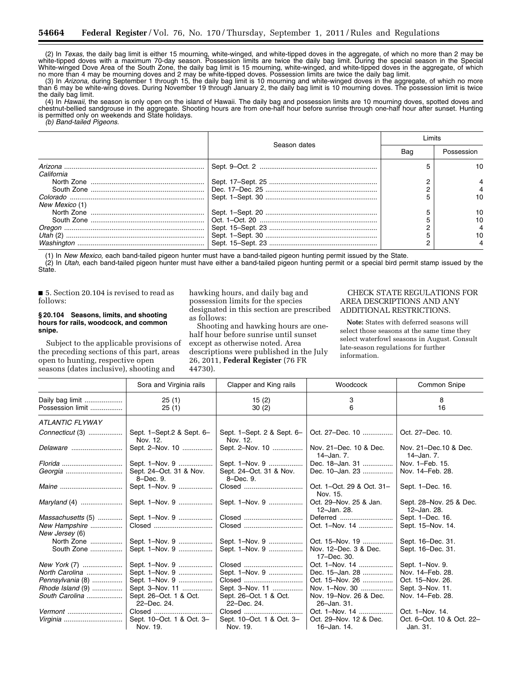(2) In *Texas,* the daily bag limit is either 15 mourning, white-winged, and white-tipped doves in the aggregate, of which no more than 2 may be white-tipped doves with a maximum 70-day season. Possession limits are twice the daily bag limit. During the special season in the Special White-winged Dove Area of the South Zone, the daily bag limit is 15 mourning, white-winged, and white-tipped doves in the aggregate, of which no more than 4 may be mourning doves and 2 may be white-tipped doves. Possession limits are twice the daily bag limit.

(3) In *Arizona,* during September 1 through 15, the daily bag limit is 10 mourning and white-winged doves in the aggregate, of which no more than 6 may be white-wing doves. During November 19 through January 2, the daily bag limit is 10 mourning doves. The possession limit is twice the daily bag limit.

(4) In *Hawaii,* the season is only open on the island of Hawaii. The daily bag and possession limits are 10 mourning doves, spotted doves and chestnut-bellied sandgrouse in the aggregate. Shooting hours are from one-half hour before sunrise through one-half hour after sunset. Hunting is permitted only on weekends and State holidays.

*(b) Band-tailed Pigeons.* 

|                |              | l imits |            |  |
|----------------|--------------|---------|------------|--|
|                | Season dates | Bag     | Possession |  |
|                |              |         | 10.        |  |
| California     |              |         |            |  |
|                |              |         |            |  |
|                |              |         |            |  |
|                |              |         | 10         |  |
| New Mexico (1) |              |         |            |  |
|                |              |         | 10         |  |
|                |              |         | 10         |  |
|                |              |         |            |  |
|                |              |         | 10         |  |
|                |              |         |            |  |

(1) In *New Mexico,* each band-tailed pigeon hunter must have a band-tailed pigeon hunting permit issued by the State.

(2) In *Utah,* each band-tailed pigeon hunter must have either a band-tailed pigeon hunting permit or a special bird permit stamp issued by the State.

■ 5. Section 20.104 is revised to read as follows:

# **§ 20.104 Seasons, limits, and shooting hours for rails, woodcock, and common snipe.**

Subject to the applicable provisions of the preceding sections of this part, areas open to hunting, respective open seasons (dates inclusive), shooting and

hawking hours, and daily bag and possession limits for the species designated in this section are prescribed as follows:

Shooting and hawking hours are onehalf hour before sunrise until sunset except as otherwise noted. Area descriptions were published in the July 26, 2011, **Federal Register** (76 FR 44730).

# CHECK STATE REGULATIONS FOR AREA DESCRIPTIONS AND ANY ADDITIONAL RESTRICTIONS.

**Note:** States with deferred seasons will select those seasons at the same time they select waterfowl seasons in August. Consult late-season regulations for further information.

|                                     | Sora and Virginia rails                | Clapper and King rails                 | Woodcock                              | Common Snipe                           |
|-------------------------------------|----------------------------------------|----------------------------------------|---------------------------------------|----------------------------------------|
| Daily bag limit<br>Possession limit | 25(1)<br>25(1)                         | 15(2)<br>30(2)                         | 3<br>6                                | 8<br>16                                |
| <b>ATLANTIC FLYWAY</b>              |                                        |                                        |                                       |                                        |
| Connecticut (3)                     | Sept. 1-Sept. 2 & Sept. 6-<br>Nov. 12. | Sept. 1-Sept. 2 & Sept. 6-<br>Nov. 12. | Oct. 27–Dec. 10                       | Oct. 27-Dec. 10.                       |
| Delaware                            | Sept. 2-Nov. 10                        | Sept. 2-Nov. 10                        | Nov. 21-Dec. 10 & Dec.<br>14-Jan. 7.  | Nov. 21-Dec. 10 & Dec.<br>14-Jan. 7.   |
| $Florida$                           | Sept. 1-Nov. 9                         | Sept. 1-Nov. 9                         | Dec. 18-Jan. 31                       | Nov. 1-Feb. 15.                        |
|                                     | Sept. 24-Oct. 31 & Nov.<br>8-Dec. 9.   | Sept. 24-Oct. 31 & Nov.<br>8-Dec. 9.   | Dec. 10-Jan. 23                       | Nov. 14-Feb. 28.                       |
|                                     | Sept. 1-Nov. 9                         | Closed                                 | Oct. 1-Oct. 29 & Oct. 31-<br>Nov. 15. | Sept. 1-Dec. 16.                       |
|                                     | Sept. 1-Nov. 9                         | Sept. 1-Nov. 9                         | Oct. 29-Nov. 25 & Jan.<br>12-Jan. 28. | Sept. 28-Nov. 25 & Dec.<br>12-Jan. 28. |
| Massachusetts (5)                   | Sept. 1-Nov. 9                         | Closed                                 | Deferred                              | Sept. 1-Dec. 16.                       |
| New Hampshire<br>New Jersey (6)     | Closed                                 | Closed                                 | Oct. 1-Nov. 14                        | Sept. 15-Nov. 14.                      |
| North Zone                          | Sept. 1-Nov. 9                         | Sept. 1-Nov. 9                         | Oct. 15-Nov. 19                       | Sept. 16-Dec. 31.                      |
| South Zone                          | Sept. 1-Nov. 9                         | Sept. 1-Nov. 9                         | Nov. 12-Dec. 3 & Dec.<br>17-Dec. 30.  | Sept. 16-Dec. 31.                      |
| New York (7)                        | Sept. 1-Nov. 9                         | Closed                                 | Oct. 1-Nov. 14                        | Sept. 1-Nov. 9.                        |
| North Carolina                      | Sept. 1-Nov. 9                         | Sept. 1-Nov. 9                         | Dec. 15-Jan. 28                       | Nov. 14-Feb. 28.                       |
| Pennsylvania (8)                    | Sept. 1-Nov. 9                         | Closed                                 | Oct. 15–Nov. 26                       | Oct. 15-Nov. 26.                       |
| Rhode Island (9)                    | Sept. 3-Nov. 11                        | Sept. 3-Nov. 11                        | Nov. 1-Nov. 30                        | Sept. 3-Nov. 11.                       |
| South Carolina                      | Sept. 26-Oct. 1 & Oct.<br>22-Dec. 24.  | Sept. 26-Oct. 1 & Oct.<br>22-Dec. 24.  | Nov. 19-Nov. 26 & Dec.<br>26-Jan. 31. | Nov. 14-Feb. 28.                       |
| Vermont                             | Closed                                 | Closed                                 | Oct. 1-Nov. 14                        | Oct. 1-Nov. 14.                        |
|                                     | Sept. 10-Oct. 1 & Oct. 3-              | Sept. 10-Oct. 1 & Oct. 3-              | Oct. 29-Nov. 12 & Dec.                | Oct. 6-Oct. 10 & Oct. 22-              |
|                                     | Nov. 19.                               | Nov. 19.                               | 16–Jan. 14.                           | Jan. 31.                               |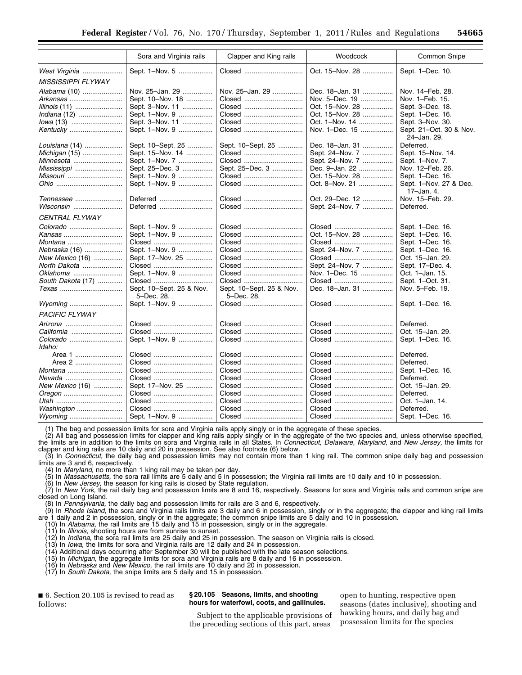|                           | Sora and Virginia rails  | Clapper and King rails   | Woodcock        | Common Snipe                         |
|---------------------------|--------------------------|--------------------------|-----------------|--------------------------------------|
| West Virginia             | Sept. 1-Nov. 5           | Closed                   | Oct. 15-Nov. 28 | Sept. 1-Dec. 10.                     |
| <b>MISSISSIPPI FLYWAY</b> |                          |                          |                 |                                      |
| Alabama (10)              | Nov. 25-Jan. 29          | Nov. 25-Jan. 29          | Dec. 18-Jan. 31 | Nov. 14-Feb. 28.                     |
| Arkansas                  | Sept. 10-Nov. 18         | Closed                   | Nov. 5-Dec. 19  | Nov. 1-Feb. 15.                      |
| <i>Illinois</i> (11)      | Sept. 3-Nov. 11          | Closed                   | Oct. 15-Nov. 28 | Sept. 3-Dec. 18.                     |
|                           | Sept. 1-Nov. 9           | Closed                   | Oct. 15-Nov. 28 | Sept. 1-Dec. 16.                     |
| lowa (13)                 | Sept. 3-Nov. 11          | Closed                   | Oct. 1–Nov. 14  | Sept. 3-Nov. 30.                     |
| Kentucky                  | Sept. 1-Nov. 9           | Closed                   | Nov. 1-Dec. 15  | Sept. 21-Oct. 30 & Nov.              |
|                           |                          |                          |                 | 24-Jan. 29.                          |
| Louisiana (14)            | Sept. 10-Sept. 25        | Sept. 10-Sept. 25        | Dec. 18-Jan. 31 | Deferred.                            |
| Michigan (15)             | Sept. 15-Nov. 14         | Closed                   | Sept. 24-Nov. 7 | Sept. 15-Nov. 14.                    |
| Minnesota                 | Sept. 1-Nov. 7           | Closed                   | Sept. 24-Nov. 7 | Sept. 1-Nov. 7.                      |
| Mississippi               | Sept. 25-Dec. 3          | Sept. 25-Dec. 3          | Dec. 9-Jan. 22  | Nov. 12-Feb. 26.                     |
| <i>Missouri</i>           | Sept. 1-Nov. 9           | Closed                   | Oct. 15–Nov. 28 | Sept. 1-Dec. 16.                     |
|                           | Sept. 1-Nov. 9           | Closed                   | Oct. 8-Nov. 21  | Sept. 1-Nov. 27 & Dec.<br>17-Jan. 4. |
| Tennessee                 | Deferred                 | Closed                   | Oct. 29-Dec. 12 | Nov. 15-Feb. 29.                     |
|                           | Deferred                 | Closed                   | Sept. 24-Nov. 7 | Deferred.                            |
| CENTRAL FLYWAY            |                          |                          |                 |                                      |
|                           | Sept. 1-Nov. 9           | Closed                   | Closed          | Sept. 1-Dec. 16.                     |
| Kansas                    | Sept. 1-Nov. 9           | Closed                   | Oct. 15-Nov. 28 | Sept. 1-Dec. 16.                     |
| <i>Montana</i>            | Closed                   | Closed                   | Closed          | Sept. 1-Dec. 16.                     |
| <i>Nebraska</i> (16)      | Sept. 1-Nov. 9           | Closed                   | Sept. 24-Nov. 7 | Sept. 1-Dec. 16.                     |
| New Mexico (16)           | Sept. 17-Nov. 25         | Closed                   | Closed          | Oct. 15-Jan. 29.                     |
| North Dakota              | Closed                   | Closed                   | Sept. 24-Nov. 7 | Sept. 17-Dec. 4.                     |
| Oklahoma                  | Sept. 1-Nov. 9           | Closed                   | Nov. 1–Dec. 15  | Oct. 1-Jan. 15.                      |
| South Dakota (17)         | Closed                   | Closed                   | Closed          | Sept. 1-Oct. 31.                     |
| Texas                     | Sept. 10-Sept. 25 & Nov. | Sept. 10-Sept. 25 & Nov. | Dec. 18-Jan. 31 | Nov. 5-Feb. 19.                      |
|                           | 5-Dec. 28.               | 5-Dec. 28.               |                 |                                      |
| Wyoming                   | Sept. 1-Nov. 9           | Closed                   | Closed          | Sept. 1-Dec. 16.                     |
| <b>PACIFIC FLYWAY</b>     |                          |                          |                 |                                      |
|                           | Closed                   | Closed                   | Closed          | Deferred.                            |
| California                | Closed                   | Closed                   | Closed          | Oct. 15-Jan. 29.                     |
|                           | Sept. 1-Nov. 9           | Closed                   | Closed          | Sept. 1-Dec. 16.                     |
| Idaho:                    |                          |                          |                 |                                      |
| Area 1                    | Closed                   | Closed                   | Closed          | Deferred.                            |
| Area 2                    | Closed                   | Closed                   | Closed          | Deferred.                            |
|                           | Closed                   | Closed                   | Closed          | Sept. 1-Dec. 16.                     |
|                           | Closed                   | Closed                   | Closed          | Deferred.                            |
| New Mexico (16)           | Sept. 17-Nov. 25         | Closed                   | Closed          | Oct. 15-Jan. 29.                     |
| Oregon                    | Closed                   | Closed                   | Closed          | Deferred.                            |
|                           | Closed                   | Closed                   | Closed          | Oct. 1-Jan. 14.                      |
| Washington                | Closed                   | Closed                   | Closed          | Deferred.                            |
| Wyoming                   | Sept. 1-Nov. 9           | Closed                   | Closed          | Sept. 1-Dec. 16.                     |

(1) The bag and possession limits for sora and Virginia rails apply singly or in the aggregate of these species.

(2) All bag and possession limits for clapper and king rails apply singly or in the aggregate of the two species and, unless otherwise specified, the limits are in addition to the limits on sora and Virginia rails in all States. In *Connecticut, Delaware, Maryland,* and *New Jersey,* the limits for clapper and king rails are 10 daily and 20 in possession. See also footnote (6) below.

(3) In *Connecticut,* the daily bag and possession limits may not contain more than 1 king rail. The common snipe daily bag and possession limits are 3 and 6, respectively.

(4) In *Maryland,* no more than 1 king rail may be taken per day.

(5) In *Massachusetts,* the sora rail limits are 5 daily and 5 in possession; the Virginia rail limits are 10 daily and 10 in possession.

(6) In *New Jersey,* the season for king rails is closed by State regulation.

(7) In *New York,* the rail daily bag and possession limits are 8 and 16, respectively. Seasons for sora and Virginia rails and common snipe are closed on Long Island.

(8) In *Pennsylvania,* the daily bag and possession limits for rails are 3 and 6, respectively.

(9) In *Rhode Island,* the sora and Virginia rails limits are 3 daily and 6 in possession, singly or in the aggregate; the clapper and king rail limits are 1 daily and 2 in possession, singly or in the aggregate; the common snipe limits are 5 daily and 10 in possession.

(10) In *Alabama,* the rail limits are 15 daily and 15 in possession, singly or in the aggregate.

(11) In *Illinois,* shooting hours are from sunrise to sunset.

(12) In *Indiana,* the sora rail limits are 25 daily and 25 in possession. The season on Virginia rails is closed.

(13) In *Iowa,* the limits for sora and Virginia rails are 12 daily and 24 in possession.

(14) Additional days occurring after September 30 will be published with the late season selections.

(15) In *Michigan,* the aggregate limits for sora and Virginia rails are 8 daily and 16 in possession.

(16) In *Nebraska* and *New Mexico,* the rail limits are 10 daily and 20 in possession.

(17) In *South Dakota,* the snipe limits are 5 daily and 15 in possession.

■ 6. Section 20.105 is revised to read as follows:

#### **§ 20.105 Seasons, limits, and shooting hours for waterfowl, coots, and gallinules.**

Subject to the applicable provisions of the preceding sections of this part, areas

open to hunting, respective open seasons (dates inclusive), shooting and hawking hours, and daily bag and possession limits for the species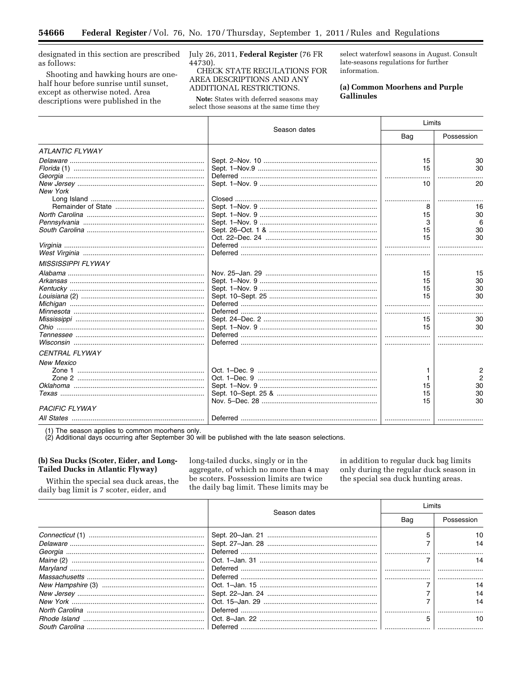designated in this section are prescribed as follows:

▀

Shooting and hawking hours are onehalf hour before sunrise until sunset, except as otherwise noted. Area descriptions were published in the

July 26, 2011, Federal Register (76 FR 44730).

CHECK STATE REGULATIONS FOR AREA DESCRIPTIONS AND ANY ADDITIONAL RESTRICTIONS.

Note: States with deferred seasons may select those seasons at the same time they

select waterfowl seasons in August. Consult late-seasons regulations for further information.

# (a) Common Moorhens and Purple **Gallinules**

|                           |              |          | Limits     |  |
|---------------------------|--------------|----------|------------|--|
|                           | Season dates | Bag      | Possession |  |
| <b>ATLANTIC FLYWAY</b>    |              |          |            |  |
|                           |              | 15       | 30         |  |
|                           |              | 15       | 30         |  |
|                           |              |          |            |  |
|                           |              | 10       | 20         |  |
| <b>New York</b>           |              |          |            |  |
|                           |              |          |            |  |
|                           |              |          | 16         |  |
|                           |              | 15       | 30         |  |
|                           |              | 3        |            |  |
|                           |              | 15       | 30         |  |
|                           |              | 15       | 30         |  |
|                           |              |          |            |  |
|                           |              |          |            |  |
| <b>MISSISSIPPI FLYWAY</b> |              |          |            |  |
|                           |              | 15       | 15         |  |
|                           |              | 15       | 30         |  |
|                           |              | 15       | 30         |  |
|                           |              | 15       | 30         |  |
|                           |              |          |            |  |
|                           |              |          |            |  |
|                           |              | 15       | 30         |  |
|                           |              | 15       | 30         |  |
|                           |              |          |            |  |
|                           |              |          |            |  |
| <b>CENTRAL FLYWAY</b>     |              |          |            |  |
| <b>New Mexico</b>         |              |          |            |  |
|                           |              |          | 2          |  |
|                           |              |          |            |  |
|                           |              |          | 30         |  |
|                           |              | 15<br>15 | 30         |  |
|                           |              | 15       | 30         |  |
| <b>PACIFIC FLYWAY</b>     |              |          |            |  |
|                           |              |          |            |  |
|                           |              |          |            |  |

(1) The season applies to common moorhens only.<br>(2) Additional days occurring after September 30 will be published with the late season selections.

# (b) Sea Ducks (Scoter, Eider, and Long-**Tailed Ducks in Atlantic Flyway)**

be scoters. Possession limits are twice Within the special sea duck areas, the the daily bag limit. These limits may be daily bag limit is 7 scoter, eider, and

long-tailed ducks, singly or in the in addition to regular duck bag limits aggregate, of which no more than 4 may only during the regular duck season in the special sea duck hunting areas.

|  | Season dates | Limits |            |
|--|--------------|--------|------------|
|  |              | Bag    | Possession |
|  |              |        | 10         |
|  |              |        | 14         |
|  |              |        |            |
|  |              |        |            |
|  |              |        |            |
|  |              |        |            |
|  |              |        | 14         |
|  |              |        | 14         |
|  |              |        | 14         |
|  |              |        |            |
|  |              |        | 10         |
|  |              |        |            |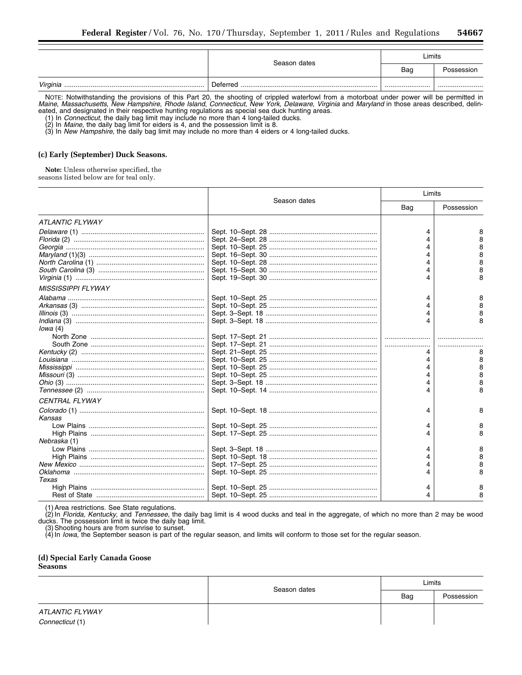|          | Season dates | Limits |            |
|----------|--------------|--------|------------|
|          |              | Bag    | Possession |
| Virginia | Deferred     |        |            |

NOTE: Notwithstanding the provisions of this Part 20, the shooting of crippled waterfowl from a motorboat under power will be permitted in *Maine*, *Massachusetts*, *New Hampshire*, *Rhode Island*, *Connecticut*, *New York*, *Delaware*, *Virginia* and *Maryland* in those areas described, delineated, and designated in their respective hunting regulations as special sea duck hunting areas.

(1) In *Connecticut,* the daily bag limit may include no more than 4 long-tailed ducks.

(2) In *Maine,* the daily bag limit for eiders is 4, and the possession limit is 8.

(3) In *New Hampshire,* the daily bag limit may include no more than 4 eiders or 4 long-tailed ducks.

#### **(c) Early (September) Duck Seasons.**

**Note:** Unless otherwise specified, the seasons listed below are for teal only.

|                           | Season dates | Limits |            |
|---------------------------|--------------|--------|------------|
|                           |              | Bag    | Possession |
| <b>ATLANTIC FLYWAY</b>    |              |        |            |
|                           |              | 4      | 8<br>8     |
|                           |              |        | 8<br>8     |
|                           |              |        | 8<br>8     |
|                           |              |        | 8          |
| <b>MISSISSIPPI FLYWAY</b> |              |        |            |
|                           |              | 4      | 8<br>8     |
|                           |              |        | 8<br>8     |
| Iowa(4)                   |              |        |            |
|                           |              |        | 8          |
|                           |              |        | 8          |
|                           |              |        | 8          |
|                           |              |        | 8          |
|                           |              |        | 8<br>8     |
| CENTRAL FLYWAY            |              |        |            |
| Kansas                    |              | 4      | 8          |
|                           |              | 4      | 8          |
| Nebraska (1)              |              |        | 8          |
|                           |              | 4      | 8          |
|                           |              |        | 8          |
|                           |              |        | 8          |
|                           |              |        | 8          |
| Texas                     |              |        |            |
|                           |              | 4      | 8          |
|                           |              |        |            |

(1) Area restrictions. See State regulations.

(2) In *Florida, Kentucky,* and *Tennessee,* the daily bag limit is 4 wood ducks and teal in the aggregate, of which no more than 2 may be wood ducks. The possession limit is twice the daily bag limit.

(3) Shooting hours are from sunrise to sunset.

(4) In *Iowa,* the September season is part of the regular season, and limits will conform to those set for the regular season.

# **(d) Special Early Canada Goose Seasons**

|                 | Season dates | Limits |            |
|-----------------|--------------|--------|------------|
|                 |              | Bag    | Possession |
| ATLANTIC FLYWAY |              |        |            |
| Connecticut (1) |              |        |            |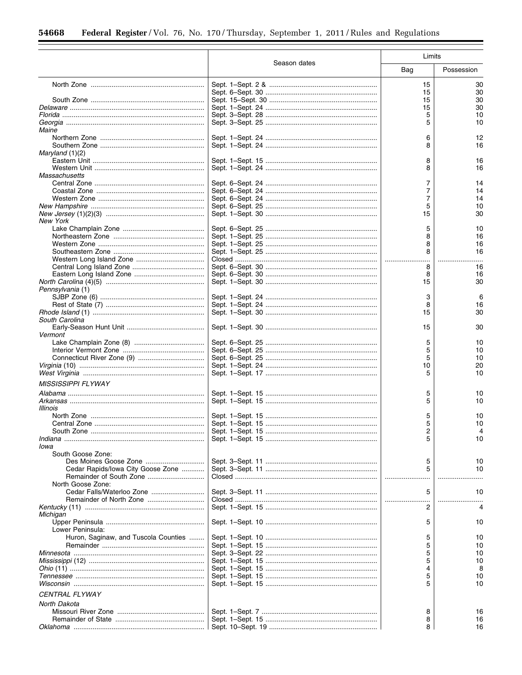٦

 $\equiv$ 

|                                      |              | Limits |            |
|--------------------------------------|--------------|--------|------------|
|                                      | Season dates | Bag    | Possession |
|                                      |              | 15     | 30         |
|                                      |              | 15     | 30         |
|                                      |              | 15     | 30         |
|                                      |              | 15     | 30         |
|                                      |              | 5      | 10         |
|                                      |              | 5      | 10         |
| Maine                                |              |        |            |
|                                      |              | 6      | 12         |
|                                      |              | 8      | 16         |
| Marvland (1)(2)                      |              |        |            |
|                                      |              | 8      | 16         |
|                                      |              | 8      | 16         |
| Massachusetts                        |              |        |            |
|                                      |              | 7      | 14         |
|                                      |              | 7      | 14         |
|                                      |              | 7      | 14         |
|                                      |              | 5      | 10         |
|                                      |              | 15     | 30         |
| <b>New York</b>                      |              |        |            |
|                                      |              | 5      | 10         |
|                                      |              | 8      | 16         |
|                                      |              | 8      | 16         |
|                                      |              | .      | 16         |
|                                      |              | 8      | 16         |
|                                      |              | 8      | 16         |
|                                      |              | 15     | 30         |
| Pennsylvania (1)                     |              |        |            |
|                                      |              | 3      | 6          |
|                                      |              | 8      | 16         |
|                                      |              | 15     | 30         |
| South Carolina                       |              |        |            |
|                                      |              | 15     | 30         |
| Vermont                              |              |        |            |
|                                      |              | 5      | 10         |
|                                      |              | 5      | 10         |
|                                      |              | 5      | 10         |
|                                      |              | 10     | 20         |
|                                      |              | 5      | 10         |
| <b>MISSISSIPPI FLYWAY</b>            |              |        |            |
|                                      |              |        |            |
|                                      |              | 5      | 10         |
|                                      |              | 5      | 10         |
| Illinois                             |              |        |            |
|                                      |              | 5      | 10         |
|                                      |              | 5      | 10         |
|                                      |              | 5      | 10         |
| lowa                                 |              |        |            |
| South Goose Zone:                    |              |        |            |
|                                      |              | 5      | 10         |
| Cedar Rapids/Iowa City Goose Zone    |              | 5      | 10         |
|                                      |              |        |            |
| North Goose Zone:                    |              |        |            |
|                                      |              | 5      | 10         |
|                                      |              | .      |            |
|                                      |              | 2      |            |
| Michigan                             |              |        |            |
|                                      |              | 5      | 10         |
| Lower Peninsula:                     |              |        |            |
| Huron, Saginaw, and Tuscola Counties |              | 5      | 10         |
|                                      |              | 5      | 10         |
|                                      |              | 5      | 10         |
|                                      |              | 5      | 10         |
|                                      |              | 4      | 8          |
|                                      |              | 5      | 10         |
|                                      |              | 5      | 10         |
| <b>CENTRAL FLYWAY</b>                |              |        |            |
|                                      |              |        |            |
| North Dakota                         |              |        |            |
|                                      |              | 8      | 16         |
|                                      |              | 8<br>8 | 16<br>16   |
|                                      |              |        |            |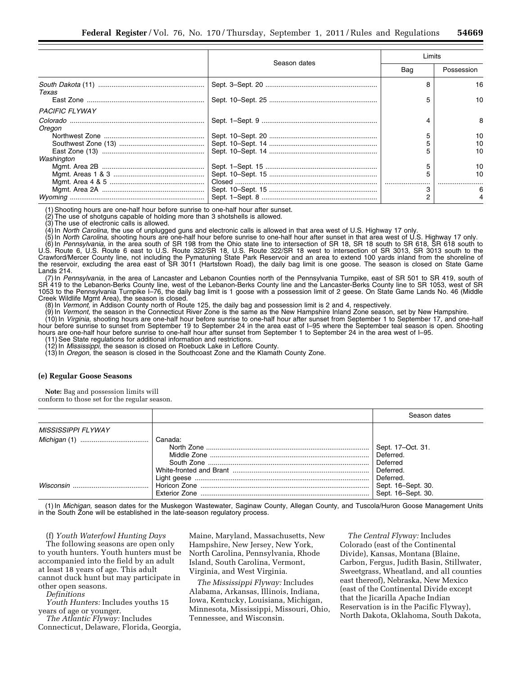|                       |              | Limits |            |
|-----------------------|--------------|--------|------------|
|                       | Season dates | Bag    | Possession |
| Texas                 |              |        | 16         |
|                       |              |        | 10         |
| <b>PACIFIC FLYWAY</b> |              |        |            |
| Oregon                |              |        | 8          |
|                       |              |        | 10         |
|                       |              |        | 10         |
|                       |              |        | 10         |
| Washington            |              |        |            |
|                       |              |        | 10         |
|                       |              |        |            |
|                       |              |        |            |
|                       |              |        |            |
|                       |              |        |            |

(1) Shooting hours are one-half hour before sunrise to one-half hour after sunset.

(2) The use of shotguns capable of holding more than 3 shotshells is allowed.

(3) The use of electronic calls is allowed.

(4) In *North Carolina,* the use of unplugged guns and electronic calls is allowed in that area west of U.S. Highway 17 only.

(5) In *North Carolina,* shooting hours are one-half hour before sunrise to one-half hour after sunset in that area west of U.S. Highway 17 only. (6) In *Pennsylvania,* in the area south of SR 198 from the Ohio state line to intersection of SR 18, SR 18 south to SR 618, SR 618 south to U.S. Route 6, U.S. Route 6 east to U.S. Route 322/SR 18, U.S. Route 322/SR 18 west to intersection of SR 3013, SR 3013 south to the Crawford/Mercer County line, not including the Pymatuning State Park Reservoir and an area to extend 100 yards inland from the shoreline of the reservoir, excluding the area east of SR 3011 (Hartstown Road), the daily bag limit is one goose. The season is closed on State Game Lands 214.

(7) In *Pennsylvania,* in the area of Lancaster and Lebanon Counties north of the Pennsylvania Turnpike, east of SR 501 to SR 419, south of SR 419 to the Lebanon-Berks County line, west of the Lebanon-Berks County line and the Lancaster-Berks County line to SR 1053, west of SR 1053 to the Pennsylvania Turnpike I–76, the daily bag limit is 1 goose with a possession limit of 2 geese. On State Game Lands No. 46 (Middle Creek Wildlife Mgmt Area), the season is closed.

(8) In *Vermont,* in Addison County north of Route 125, the daily bag and possession limit is 2 and 4, respectively.

(9) In *Vermont,* the season in the Connecticut River Zone is the same as the New Hampshire Inland Zone season, set by New Hampshire.

(10) In *Virginia,* shooting hours are one-half hour before sunrise to one-half hour after sunset from September 1 to September 17, and one-half hour before sunrise to sunset from September 19 to September 24 in the area east of I–95 where the September teal season is open. Shooting hours are one-half hour before sunrise to one-half hour after sunset from September 1 to September 24 in the area west of I-95.

11) See State regulations for additional information and restrictions.

(12) In *Mississippi,* the season is closed on Roebuck Lake in Leflore County.

(13) In *Oregon,* the season is closed in the Southcoast Zone and the Klamath County Zone.

#### **(e) Regular Goose Seasons**

**Note:** Bag and possession limits will conform to those set for the regular season.

|                           |         | Season dates                                                         |
|---------------------------|---------|----------------------------------------------------------------------|
| <b>MISSISSIPPI FLYWAY</b> |         |                                                                      |
|                           | Canada: | Sept. 17-Oct. 31.<br>Deferred.<br>Deferred<br>Deferred.<br>Deferred. |
| Wisconsin                 |         | Sept. 16-Sept. 30.<br>Sept. 16-Sept. 30.                             |

(1) In *Michigan,* season dates for the Muskegon Wastewater, Saginaw County, Allegan County, and Tuscola/Huron Goose Management Units in the South Zone will be established in the late-season regulatory process.

(f) *Youth Waterfowl Hunting Days*  The following seasons are open only to youth hunters. Youth hunters must be accompanied into the field by an adult at least 18 years of age. This adult cannot duck hunt but may participate in other open seasons.

*Definitions* 

*Youth Hunters:* Includes youths 15 years of age or younger.

*The Atlantic Flyway:* Includes Connecticut, Delaware, Florida, Georgia,

Maine, Maryland, Massachusetts, New Hampshire, New Jersey, New York, North Carolina, Pennsylvania, Rhode Island, South Carolina, Vermont, Virginia, and West Virginia.

*The Mississippi Flyway:* Includes Alabama, Arkansas, Illinois, Indiana, Iowa, Kentucky, Louisiana, Michigan, Minnesota, Mississippi, Missouri, Ohio, Tennessee, and Wisconsin.

*The Central Flyway:* Includes Colorado (east of the Continental Divide), Kansas, Montana (Blaine, Carbon, Fergus, Judith Basin, Stillwater, Sweetgrass, Wheatland, and all counties east thereof), Nebraska, New Mexico (east of the Continental Divide except that the Jicarilla Apache Indian Reservation is in the Pacific Flyway), North Dakota, Oklahoma, South Dakota,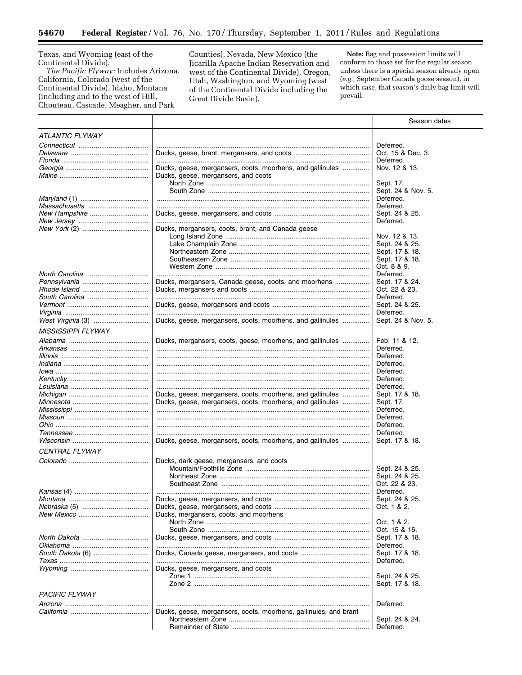Texas, and Wyoming (east of the

-

Continental Divide).<br>The Pacific Flyway: Includes Arizona, California, Colorado (west of the Continental Divide), Idaho, Montana (including and to the west of Hill, Chouteau, Cascade, Meagher, and Park

Counties), Nevada, New Mexico (the Jicarilla Apache Indian Reservation and west of the Continental Divide), Oregon, Utah, Washington, and Wyoming (west of the Continental Divide including the Great Divide Basin).

Note: Bag and possession limits will conform to those set for the regular season unless there is a special season already open (e.g., September Canada goose season), in which case, that season's daily bag limit will prevail.

|                           |                                                                  | Season dates       |
|---------------------------|------------------------------------------------------------------|--------------------|
| <b>ATLANTIC FLYWAY</b>    |                                                                  |                    |
|                           |                                                                  | Deferred.          |
|                           |                                                                  | Oct. 15 & Dec. 3.  |
|                           |                                                                  | Deferred.          |
|                           | Ducks, geese, mergansers, coots, moorhens, and gallinules        | Nov. 12 & 13.      |
|                           |                                                                  |                    |
|                           | Ducks, geese, mergansers, and coots                              |                    |
|                           |                                                                  | Sept. 17.          |
|                           |                                                                  | Sept. 24 & Nov. 5. |
|                           |                                                                  | Deferred.          |
|                           |                                                                  | Deferred.          |
|                           |                                                                  | Sept. 24 & 25.     |
|                           |                                                                  | Deferred.          |
|                           | Ducks, mergansers, coots, brant, and Canada geese                |                    |
|                           |                                                                  | Nov. 12 & 13.      |
|                           |                                                                  |                    |
|                           |                                                                  | Sept. 24 & 25.     |
|                           |                                                                  | Sept. 17 & 18.     |
|                           |                                                                  | Sept. 17 & 18.     |
|                           |                                                                  | Oct. 8 & 9.        |
|                           |                                                                  | Deferred.          |
|                           | Ducks, mergansers, Canada geese, coots, and moorhens             | Sept. 17 & 24.     |
|                           |                                                                  | Oct. 22 & 23.      |
| South Carolina            |                                                                  | Deferred.          |
|                           |                                                                  |                    |
|                           |                                                                  | Sept. 24 & 25.     |
|                           |                                                                  | Deferred.          |
|                           | Ducks, geese, mergansers, coots, moorhens, and gallinules        | Sept. 24 & Nov. 5. |
| <b>MISSISSIPPI FLYWAY</b> |                                                                  |                    |
|                           |                                                                  |                    |
|                           | Ducks, mergansers, coots, geese, moorhens, and gallinules        | Feb. 11 & 12.      |
|                           |                                                                  | Deferred.          |
| Illinois ………………………………………  |                                                                  | Deferred.          |
|                           |                                                                  | Deferred.          |
|                           |                                                                  | Deferred.          |
|                           |                                                                  | Deferred.          |
|                           |                                                                  |                    |
|                           |                                                                  | Deferred.          |
|                           | Ducks, geese, mergansers, coots, moorhens, and gallinules        | Sept. 17 & 18.     |
|                           | Ducks, geese, mergansers, coots, moorhens, and gallinules        | Sept. 17.          |
|                           |                                                                  | Deferred.          |
|                           |                                                                  | Deferred.          |
|                           |                                                                  | Deferred.          |
|                           |                                                                  | Deferred.          |
|                           | Ducks, geese, mergansers, coots, moorhens, and gallinules        | Sept. 17 & 18.     |
|                           |                                                                  |                    |
| <b>CENTRAL FLYWAY</b>     |                                                                  |                    |
|                           | Ducks, dark geese, mergansers, and coots                         |                    |
|                           |                                                                  | Sept. 24 & 25.     |
|                           |                                                                  |                    |
|                           |                                                                  | Sept. 24 & 25.     |
|                           |                                                                  | Oct. 22 & 23.      |
|                           |                                                                  | Deferred.          |
|                           |                                                                  | Sept. 24 & 25.     |
|                           |                                                                  | Oct. 1 & 2.        |
|                           | Ducks, mergansers, coots, and moorhens                           |                    |
|                           |                                                                  | Oct. 1 & 2.        |
|                           |                                                                  | Oct. 15 & 16.      |
|                           |                                                                  |                    |
|                           |                                                                  | Sept. 17 & 18.     |
|                           |                                                                  | Deferred.          |
| South Dakota (6)          |                                                                  | Sept. 17 & 18.     |
|                           |                                                                  | Deferred.          |
|                           | Ducks, geese, mergansers, and coots                              |                    |
|                           |                                                                  | Sept. 24 & 25.     |
|                           |                                                                  | Sept. 17 & 18.     |
|                           |                                                                  |                    |
| <b>PACIFIC FLYWAY</b>     |                                                                  |                    |
|                           |                                                                  | Deferred.          |
|                           | Ducks, geese, mergansers, coots, moorhens, gallinules, and brant |                    |
|                           |                                                                  |                    |
|                           |                                                                  | Sept. 24 & 24.     |
|                           |                                                                  | Deferred.          |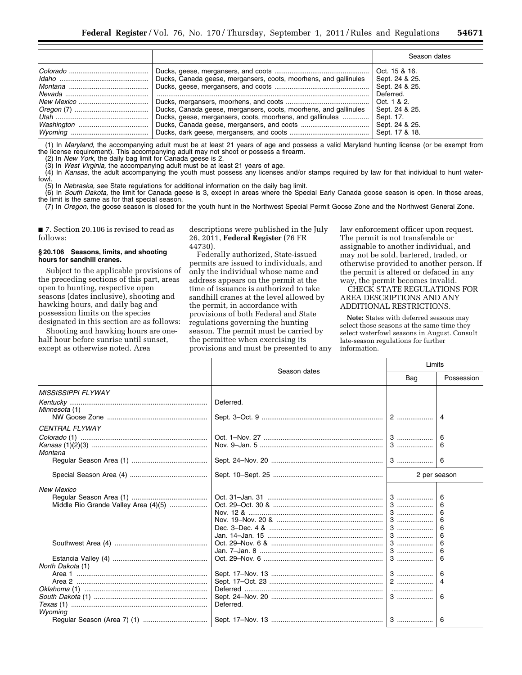|                                                                  | Season dates                                                   |
|------------------------------------------------------------------|----------------------------------------------------------------|
| Ducks, Canada geese, mergansers, coots, moorhens, and gallinules | Oct. 15 & 16.<br>Sept. 24 & 25.<br>Sept. 24 & 25.<br>Deferred. |
| Ducks, geese, mergansers, coots, moorhens, and gallinules        | Oct. 1 & 2.<br>Sept. 24 & 25.<br>Sept. 17.<br>Sept. 24 & 25.   |

(1) In *Maryland,* the accompanying adult must be at least 21 years of age and possess a valid Maryland hunting license (or be exempt from the license requirement). This accompanying adult may not shoot or possess a firearm.

(2) In *New York,* the daily bag limit for Canada geese is 2.

(3) In *West Virginia,* the accompanying adult must be at least 21 years of age.

(4) In *Kansas,* the adult accompanying the youth must possess any licenses and/or stamps required by law for that individual to hunt waterfowl.

(5) In *Nebraska,* see State regulations for additional information on the daily bag limit.

(6) In *South Dakota,* the limit for Canada geese is 3, except in areas where the Special Early Canada goose season is open. In those areas, the limit is the same as for that special season.

(7) In *Oregon,* the goose season is closed for the youth hunt in the Northwest Special Permit Goose Zone and the Northwest General Zone.

■ 7. Section 20.106 is revised to read as follows:

#### **§ 20.106 Seasons, limits, and shooting hours for sandhill cranes.**

Subject to the applicable provisions of the preceding sections of this part, areas open to hunting, respective open seasons (dates inclusive), shooting and hawking hours, and daily bag and possession limits on the species designated in this section are as follows:

Shooting and hawking hours are onehalf hour before sunrise until sunset, except as otherwise noted. Area

descriptions were published in the July 26, 2011, **Federal Register** (76 FR 44730).

Federally authorized, State-issued permits are issued to individuals, and only the individual whose name and address appears on the permit at the time of issuance is authorized to take sandhill cranes at the level allowed by the permit, in accordance with provisions of both Federal and State regulations governing the hunting season. The permit must be carried by the permittee when exercising its provisions and must be presented to any

law enforcement officer upon request. The permit is not transferable or assignable to another individual, and may not be sold, bartered, traded, or otherwise provided to another person. If the permit is altered or defaced in any way, the permit becomes invalid.

CHECK STATE REGULATIONS FOR AREA DESCRIPTIONS AND ANY ADDITIONAL RESTRICTIONS.

**Note:** States with deferred seasons may select those seasons at the same time they select waterfowl seasons in August. Consult late-season regulations for further information.

|                                      | Season dates | Limits       |                            |
|--------------------------------------|--------------|--------------|----------------------------|
|                                      |              | Bag          | Possession                 |
| <b>MISSISSIPPI FLYWAY</b>            |              |              |                            |
| Minnesota (1)                        | Deferred.    |              | 4                          |
| <b>CENTRAL FLYWAY</b>                |              |              |                            |
| Montana                              |              | 3            | 6<br>6                     |
|                                      |              |              | 6                          |
|                                      |              | 2 per season |                            |
| <b>New Mexico</b>                    |              |              |                            |
| Middle Rio Grande Valley Area (4)(5) |              | $3$<br>3     | 6<br>6<br>6<br>6<br>6<br>6 |
|                                      |              |              | 6<br>6                     |
| North Dakota (1)                     |              |              | 6<br>6                     |
|                                      | Deferred.    |              | 4<br>6                     |
| Wyoming                              |              |              | 6                          |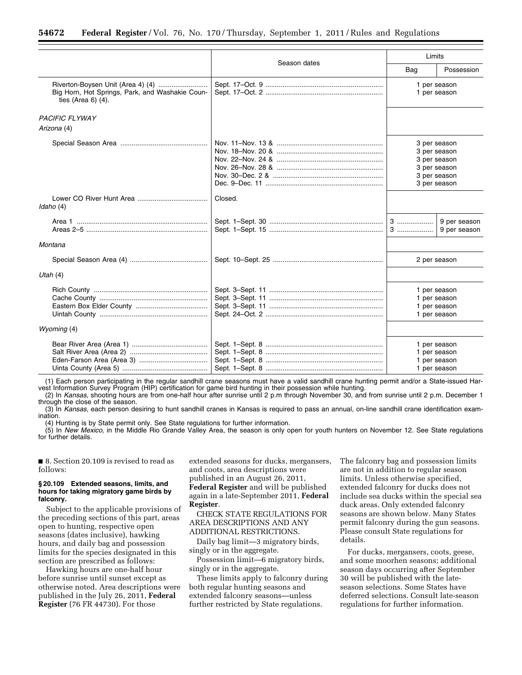|                                                                          |              | Limits |                                                                                              |
|--------------------------------------------------------------------------|--------------|--------|----------------------------------------------------------------------------------------------|
|                                                                          | Season dates | Bag    | Possession                                                                                   |
| Big Horn, Hot Springs, Park, and Washakie Coun-<br>ties (Area $6$ ) (4). |              |        | 1 per season<br>1 per season                                                                 |
| <b>PACIFIC FLYWAY</b>                                                    |              |        |                                                                                              |
| Arizona (4)                                                              |              |        |                                                                                              |
|                                                                          |              |        | 3 per season<br>3 per season<br>3 per season<br>3 per season<br>3 per season<br>3 per season |
| Idaho (4)                                                                | Closed.      |        |                                                                                              |
|                                                                          |              | 3<br>3 | 9 per season<br>9 per season                                                                 |
| Montana                                                                  |              |        |                                                                                              |
|                                                                          |              |        | 2 per season                                                                                 |
| Utah $(4)$                                                               |              |        |                                                                                              |
|                                                                          |              |        | 1 per season<br>1 per season<br>1 per season<br>1 per season                                 |
| Wyoming (4)                                                              |              |        |                                                                                              |
|                                                                          |              |        | 1 per season<br>1 per season<br>1 per season<br>1 per season                                 |

(1) Each person participating in the regular sandhill crane seasons must have a valid sandhill crane hunting permit and/or a State-issued Harvest Information Survey Program (HIP) certification for game bird hunting in their possession while hunting.

(2) In *Kansas,* shooting hours are from one-half hour after sunrise until 2 p.m through November 30, and from sunrise until 2 p.m. December 1 through the close of the season.

(3) In *Kansas,* each person desiring to hunt sandhill cranes in Kansas is required to pass an annual, on-line sandhill crane identification examination.

(4) Hunting is by State permit only. See State regulations for further information.

(5) In *New Mexico,* in the Middle Rio Grande Valley Area, the season is only open for youth hunters on November 12. See State regulations for further details.

■ 8. Section 20.109 is revised to read as follows:

# **§ 20.109 Extended seasons, limits, and hours for taking migratory game birds by falconry.**

Subject to the applicable provisions of the preceding sections of this part, areas open to hunting, respective open seasons (dates inclusive), hawking hours, and daily bag and possession limits for the species designated in this section are prescribed as follows:

Hawking hours are one-half hour before sunrise until sunset except as otherwise noted. Area descriptions were published in the July 26, 2011, **Federal Register** (76 FR 44730). For those

extended seasons for ducks, mergansers, and coots, area descriptions were published in an August 26, 2011, **Federal Register** and will be published again in a late-September 2011, **Federal Register**.

CHECK STATE REGULATIONS FOR AREA DESCRIPTIONS AND ANY ADDITIONAL RESTRICTIONS.

Daily bag limit—3 migratory birds, singly or in the aggregate.

Possession limit—6 migratory birds, singly or in the aggregate.

These limits apply to falconry during both regular hunting seasons and extended falconry seasons—unless further restricted by State regulations.

The falconry bag and possession limits are not in addition to regular season limits. Unless otherwise specified, extended falconry for ducks does not include sea ducks within the special sea duck areas. Only extended falconry seasons are shown below. Many States permit falconry during the gun seasons. Please consult State regulations for details.

For ducks, mergansers, coots, geese, and some moorhen seasons; additional season days occurring after September 30 will be published with the lateseason selections. Some States have deferred selections. Consult late-season regulations for further information.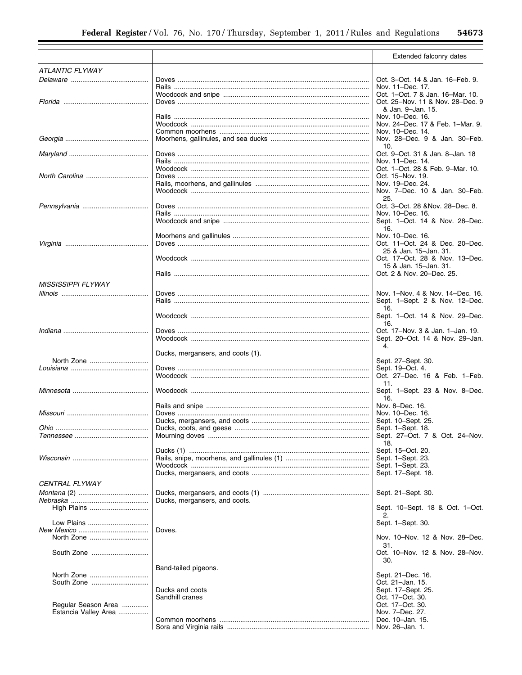|                           |                                    | Extended falconry dates                                             |
|---------------------------|------------------------------------|---------------------------------------------------------------------|
| <b>ATLANTIC FLYWAY</b>    |                                    |                                                                     |
|                           |                                    | Oct. 3-Oct. 14 & Jan. 16-Feb. 9.                                    |
|                           |                                    | Nov. 11-Dec. 17.                                                    |
|                           |                                    | Oct. 1-Oct. 7 & Jan. 16-Mar. 10.                                    |
|                           |                                    | Oct. 25-Nov. 11 & Nov. 28-Dec. 9                                    |
|                           |                                    | & Jan. 9-Jan. 15.                                                   |
|                           |                                    | Nov. 10–Dec. 16.<br>Nov. 24-Dec. 17 & Feb. 1-Mar. 9.                |
|                           |                                    | Nov. 10-Dec. 14.                                                    |
|                           |                                    | Nov. 28-Dec. 9 & Jan. 30-Feb.                                       |
|                           |                                    | 10.                                                                 |
|                           |                                    | Oct. 9-Oct. 31 & Jan. 8-Jan. 18                                     |
|                           |                                    | Nov. 11-Dec. 14.                                                    |
|                           |                                    | Oct. 1-Oct. 28 & Feb. 9-Mar. 10.<br>Oct. 15-Nov. 19.                |
|                           |                                    | Nov. 19–Dec. 24.                                                    |
|                           |                                    | Nov. 7-Dec. 10 & Jan. 30-Feb.                                       |
|                           |                                    | 25.                                                                 |
|                           |                                    | Oct. 3-Oct. 28 &Nov. 28-Dec. 8.                                     |
|                           |                                    | Nov. 10–Dec. 16.                                                    |
|                           |                                    | Sept. 1-Oct. 14 & Nov. 28-Dec.                                      |
|                           |                                    | 16.<br>Nov. 10-Dec. 16.                                             |
|                           |                                    | Oct. 11-Oct. 24 & Dec. 20-Dec.                                      |
|                           |                                    | 25 & Jan. 15-Jan. 31.                                               |
|                           |                                    | Oct. 17-Oct. 28 & Nov. 13-Dec.                                      |
|                           |                                    | 15 & Jan. 15-Jan. 31.                                               |
|                           |                                    | Oct. 2 & Nov. 20-Dec. 25.                                           |
| <b>MISSISSIPPI FLYWAY</b> |                                    |                                                                     |
|                           |                                    | Nov. 1-Nov. 4 & Nov. 14-Dec. 16.                                    |
|                           |                                    | Sept. 1–Sept. 2 & Nov. 12–Dec.                                      |
|                           |                                    | 16.                                                                 |
|                           |                                    | Sept. 1-Oct. 14 & Nov. 29-Dec.                                      |
|                           |                                    | 16.                                                                 |
|                           |                                    | Oct. 17-Nov. 3 & Jan. 1-Jan. 19.<br>Sept. 20–Oct. 14 & Nov. 29–Jan. |
|                           |                                    | 4.                                                                  |
|                           | Ducks, mergansers, and coots (1).  |                                                                     |
|                           |                                    | Sept. 27–Sept. 30.                                                  |
|                           |                                    | Sept. 19-Oct. 4.                                                    |
|                           |                                    | Oct. 27-Dec. 16 & Feb. 1-Feb.<br>11.                                |
|                           |                                    | Sept. 1-Sept. 23 & Nov. 8-Dec.                                      |
|                           |                                    | 16.                                                                 |
|                           |                                    | Nov. 8-Dec. 16.                                                     |
|                           |                                    | Nov. 10–Dec. 16.                                                    |
|                           |                                    | Sept. 10–Sept. 25.                                                  |
|                           |                                    | Sept. 1-Sept. 18.                                                   |
|                           |                                    | Sept. 27–Oct. 7 & Oct. 24–Nov.<br>18.                               |
|                           |                                    | Sept. 15-Oct. 20.                                                   |
|                           |                                    | Sept. 1-Sept. 23.                                                   |
|                           |                                    | Sept. 1-Sept. 23.                                                   |
|                           |                                    | Sept. 17-Sept. 18.                                                  |
| <i>CENTRAL FLYWAY</i>     |                                    |                                                                     |
|                           |                                    | Sept. 21-Sept. 30.                                                  |
|                           | Ducks, mergansers, and coots.      |                                                                     |
| High Plains               |                                    | Sept. 10–Sept. 18 & Oct. 1–Oct.                                     |
|                           |                                    | 2.                                                                  |
| Low Plains                | Doves.                             | Sept. 1-Sept. 30.                                                   |
| North Zone                |                                    | Nov. 10-Nov. 12 & Nov. 28-Dec.                                      |
|                           |                                    | 31.                                                                 |
| South Zone                |                                    | Oct. 10–Nov. 12 & Nov. 28–Nov.                                      |
|                           |                                    | 30.                                                                 |
|                           | Band-tailed pigeons.               |                                                                     |
| North Zone                |                                    | Sept. 21–Dec. 16.                                                   |
| South Zone                |                                    | Oct. 21-Jan. 15.                                                    |
|                           | Ducks and coots<br>Sandhill cranes | Sept. 17-Sept. 25.<br>Oct. 17-Oct. 30.                              |
| Regular Season Area       |                                    | Oct. 17-Oct. 30.                                                    |
| Estancia Valley Area      |                                    | Nov. 7-Dec. 27.                                                     |
|                           |                                    | Dec. 10-Jan. 15.                                                    |
|                           |                                    | Nov. 26-Jan. 1.                                                     |